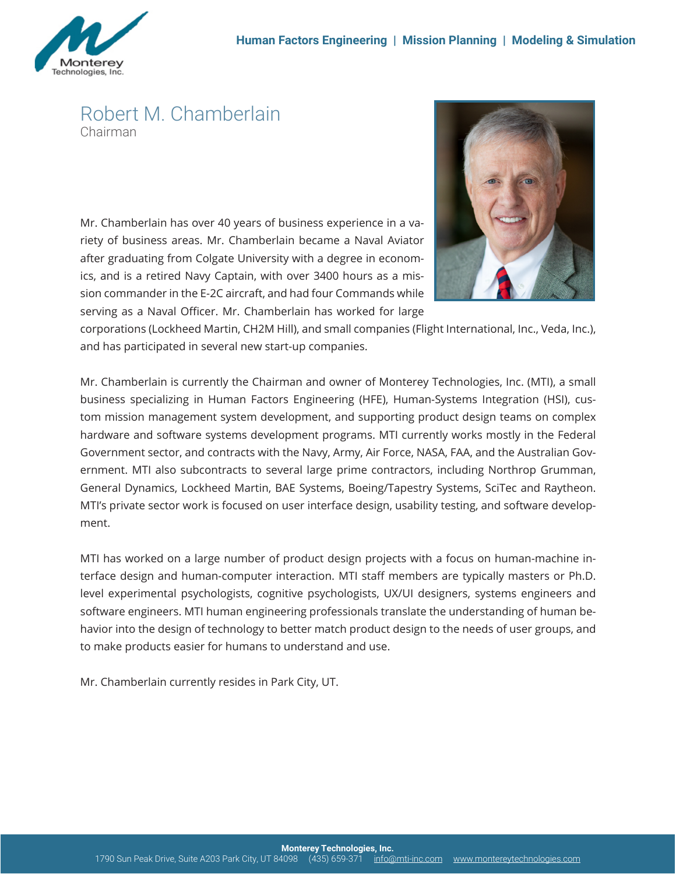

## Robert M. Chamberlain Chairman

Mr. Chamberlain has over 40 years of business experience in a variety of business areas. Mr. Chamberlain became a Naval Aviator after graduating from Colgate University with a degree in economics, and is a retired Navy Captain, with over 3400 hours as a mission commander in the E-2C aircraft, and had four Commands while serving as a Naval Officer. Mr. Chamberlain has worked for large



corporations (Lockheed Martin, CH2M Hill), and small companies (Flight International, Inc., Veda, Inc.), and has participated in several new start-up companies.

Mr. Chamberlain is currently the Chairman and owner of Monterey Technologies, Inc. (MTI), a small business specializing in Human Factors Engineering (HFE), Human-Systems Integration (HSI), custom mission management system development, and supporting product design teams on complex hardware and software systems development programs. MTI currently works mostly in the Federal Government sector, and contracts with the Navy, Army, Air Force, NASA, FAA, and the Australian Government. MTI also subcontracts to several large prime contractors, including Northrop Grumman, General Dynamics, Lockheed Martin, BAE Systems, Boeing/Tapestry Systems, SciTec and Raytheon. MTI's private sector work is focused on user interface design, usability testing, and software development.

MTI has worked on a large number of product design projects with a focus on human-machine interface design and human-computer interaction. MTI staff members are typically masters or Ph.D. level experimental psychologists, cognitive psychologists, UX/UI designers, systems engineers and software engineers. MTI human engineering professionals translate the understanding of human behavior into the design of technology to better match product design to the needs of user groups, and to make products easier for humans to understand and use.

Mr. Chamberlain currently resides in Park City, UT.